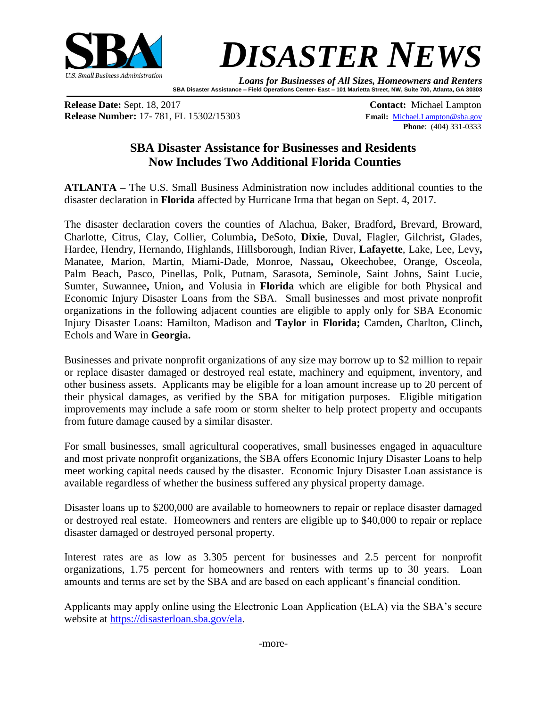

## *DISASTER NEWS*

*Loans for Businesses of All Sizes, Homeowners and Renters* **SBA Disaster Assistance – Field Operations Center- East – 101 Marietta Street, NW, Suite 700, Atlanta, GA 30303**

**Release Date:** Sept. 18, 2017 **Contact:** Michael Lampton **Release Number:** 17- 781, FL 15302/15303 **Email:** [Michael.Lampton@sba.gov](mailto:Michael.Lampton@sba.gov)

**Phone**: (404) 331-0333

## **SBA Disaster Assistance for Businesses and Residents Now Includes Two Additional Florida Counties**

**ATLANTA –** The U.S. Small Business Administration now includes additional counties to the disaster declaration in **Florida** affected by Hurricane Irma that began on Sept. 4, 2017.

The disaster declaration covers the counties of Alachua, Baker, Bradford**,** Brevard, Broward, Charlotte, Citrus, Clay, Collier, Columbia**,** DeSoto, **Dixie**, Duval, Flagler, Gilchrist**,** Glades, Hardee, Hendry, Hernando, Highlands, Hillsborough, Indian River, **Lafayette**, Lake, Lee, Levy**,**  Manatee, Marion, Martin, Miami-Dade, Monroe, Nassau**,** Okeechobee, Orange, Osceola, Palm Beach, Pasco, Pinellas, Polk, Putnam, Sarasota, Seminole, Saint Johns, Saint Lucie, Sumter, Suwannee**,** Union**,** and Volusia in **Florida** which are eligible for both Physical and Economic Injury Disaster Loans from the SBA. Small businesses and most private nonprofit organizations in the following adjacent counties are eligible to apply only for SBA Economic Injury Disaster Loans: Hamilton, Madison and **Taylor** in **Florida;** Camden**,** Charlton**,** Clinch**,**  Echols and Ware in **Georgia.**

Businesses and private nonprofit organizations of any size may borrow up to \$2 million to repair or replace disaster damaged or destroyed real estate, machinery and equipment, inventory, and other business assets. Applicants may be eligible for a loan amount increase up to 20 percent of their physical damages, as verified by the SBA for mitigation purposes. Eligible mitigation improvements may include a safe room or storm shelter to help protect property and occupants from future damage caused by a similar disaster.

For small businesses, small agricultural cooperatives, small businesses engaged in aquaculture and most private nonprofit organizations, the SBA offers Economic Injury Disaster Loans to help meet working capital needs caused by the disaster. Economic Injury Disaster Loan assistance is available regardless of whether the business suffered any physical property damage.

Disaster loans up to \$200,000 are available to homeowners to repair or replace disaster damaged or destroyed real estate. Homeowners and renters are eligible up to \$40,000 to repair or replace disaster damaged or destroyed personal property.

Interest rates are as low as 3.305 percent for businesses and 2.5 percent for nonprofit organizations, 1.75 percent for homeowners and renters with terms up to 30 years. Loan amounts and terms are set by the SBA and are based on each applicant's financial condition.

Applicants may apply online using the Electronic Loan Application (ELA) via the SBA's secure website at [https://disasterloan.sba.gov/ela.](https://disasterloan.sba.gov/ela/)